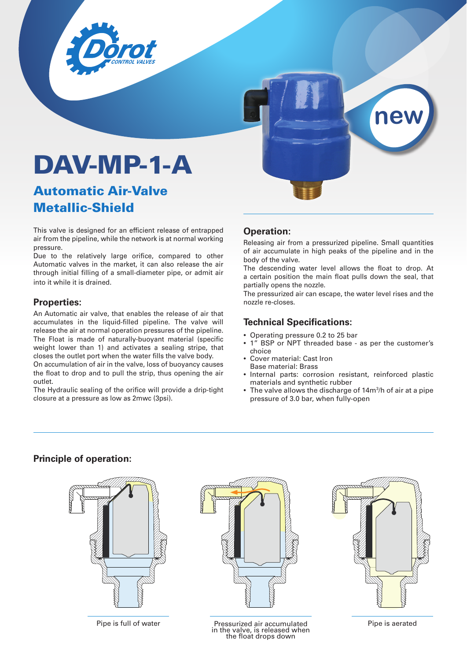



# Automatic Air-Valve Metallic-Shield

This valve is designed for an efficient release of entrapped air from the pipeline, while the network is at normal working pressure.

Due to the relatively large orifice, compared to other Automatic valves in the market, it can also release the air through initial filling of a small-diameter pipe, or admit air into it while it is drained.

#### **Properties:**

An Automatic air valve, that enables the release of air that accumulates in the liquid-filled pipeline. The valve will release the air at normal operation pressures of the pipeline. The Float is made of naturally-buoyant material (specific weight lower than 1) and activates a sealing stripe, that closes the outlet port when the water fills the valve body.

On accumulation of air in the valve, loss of buoyancy causes the float to drop and to pull the strip, thus opening the air outlet.

The Hydraulic sealing of the orifice will provide a drip-tight closure at a pressure as low as 2mwc (3psi).

#### **Operation:**

Releasing air from a pressurized pipeline. Small quantities of air accumulate in high peaks of the pipeline and in the body of the valve.

**new**

The descending water level allows the float to drop. At a certain position the main float pulls down the seal, that partially opens the nozzle.

The pressurized air can escape, the water level rises and the nozzle re-closes.

#### **Technical Specifications:**

- Operating pressure 0.2 to 25 bar
- 1<sup>"</sup> BSP or NPT threaded base as per the customer's choice
- Cover material: Cast Iron Base material: Brass
- Internal parts: corrosion resistant, reinforced plastic materials and synthetic rubber
- The valve allows the discharge of 14m<sup>3</sup>/h of air at a pipe pressure of 3.0 bar, when fully-open

#### **Principle of operation:**



Pipe is full of water **Pressurized air accumulated** in the valve, is released when the float drops down

#### Pipe is aerated